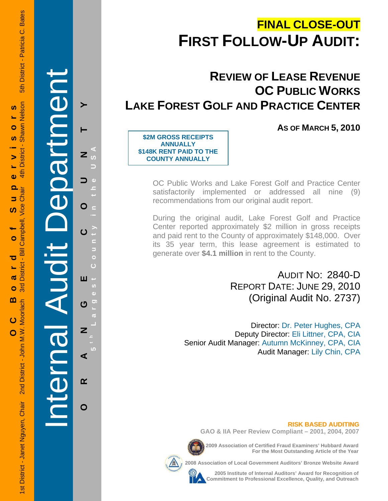# **FINAL CLOSE-OUT FIRST FOLLOW-UP AUDIT:**

# **REVIEW OF LEASE REVENUE OC PUBLIC WORKS LAKE FOREST GOLF AND PRACTICE CENTER**

**AS OF MARCH 5, 2010**

**\$2M GROSS RECEIPTS ANNUALLY \$148K RENT PAID TO THE COUNTY ANNUALLY** 

> OC Public Works and Lake Forest Golf and Practice Center satisfactorily implemented or addressed all nine (9) recommendations from our original audit report.

> During the original audit, Lake Forest Golf and Practice Center reported approximately \$2 million in gross receipts and paid rent to the County of approximately \$148,000. Over its 35 year term, this lease agreement is estimated to generate over **\$4.1 million** in rent to the County.

> > AUDIT NO: 2840-D REPORT DATE: JUNE 29, 2010 (Original Audit No. 2737)

Director: Dr. Peter Hughes, CPA Deputy Director: Eli Littner, CPA, CIA Senior Audit Manager: Autumn McKinney, CPA, CIA Audit Manager: Lily Chin, CPA

**RISK BASED AUDITING GAO & IIA Peer Review Compliant – 2001, 2004, 2007**

**2009 Association of Certified Fraud Examiners' Hubbard Award For the Most Outstanding Article of the Year** 

**2008 Association of Local Government Auditors' Bronze Website Award** 

**2005 Institute of Internal Auditors' Award for Recognition of Commitment to Professional Excellence, Quality, and Outreach**

Internal Audit Department  $\blacktriangleright$  $\mathbf{r}$ **Pa**  $\mathbf O$ 

**ORANGE COUNTY 5 t h Lar** O Ш  $\boldsymbol{\sigma}$  $\overline{z}$ ⋖  $\alpha$ 

**y in the USA est Count** E Ō Ġ **g**

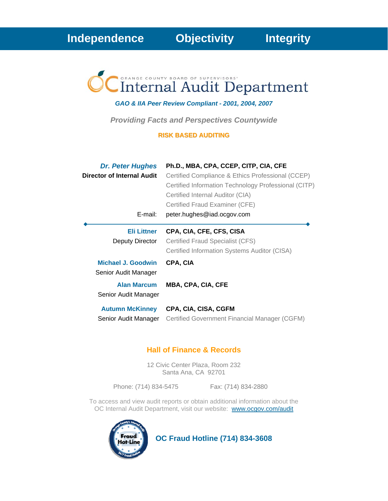# Internal Audit Department

# *GAO & IIA Peer Review Compliant - 2001, 2004, 2007*

*Providing Facts and Perspectives Countywide* 

## **RISK BASED AUDITING**

| <b>Dr. Peter Hughes</b><br>Director of Internal Audit<br>E-mail:       | Ph.D., MBA, CPA, CCEP, CITP, CIA, CFE<br>Certified Compliance & Ethics Professional (CCEP)<br>Certified Information Technology Professional (CITP)<br>Certified Internal Auditor (CIA)<br>Certified Fraud Examiner (CFE)<br>peter.hughes@iad.ocgov.com |
|------------------------------------------------------------------------|--------------------------------------------------------------------------------------------------------------------------------------------------------------------------------------------------------------------------------------------------------|
| <b>Eli Littner</b><br>Deputy Director                                  | CPA, CIA, CFE, CFS, CISA<br>Certified Fraud Specialist (CFS)<br>Certified Information Systems Auditor (CISA)                                                                                                                                           |
| Michael J. Goodwin<br>Senior Audit Manager<br><b>Alan Marcum</b>       | CPA, CIA<br><b>MBA, CPA, CIA, CFE</b>                                                                                                                                                                                                                  |
| Senior Audit Manager<br><b>Autumn McKinney</b><br>Senior Audit Manager | CPA, CIA, CISA, CGFM<br>Certified Government Financial Manager (CGFM)                                                                                                                                                                                  |

# **Hall of Finance & Records**

12 Civic Center Plaza, Room 232 Santa Ana, CA 92701

Phone: (714) 834-5475 Fax: (714) 834-2880

To access and view audit reports or obtain additional information about the OC Internal Audit Department, visit our website: www.ocgov.com/audit



 **OC Fraud Hotline (714) 834-3608**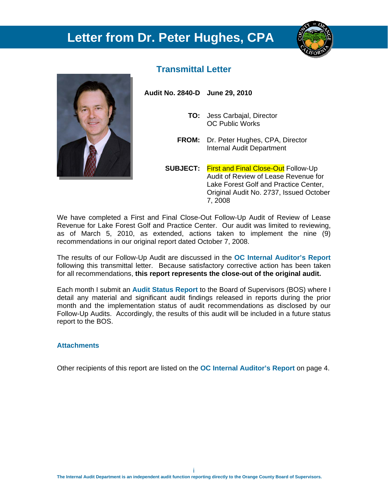# **Letter from Dr. Peter Hughes, CPA**





# **Transmittal Letter**

**Audit No. 2840-D June 29, 2010** 

- **TO:** Jess Carbajal, Director OC Public Works
- **FROM:** Dr. Peter Hughes, CPA, Director Internal Audit Department
- **SUBJECT:** First and Final Close-Out Follow-Up Audit of Review of Lease Revenue for Lake Forest Golf and Practice Center, Original Audit No. 2737, Issued October 7, 2008

We have completed a First and Final Close-Out Follow-Up Audit of Review of Lease Revenue for Lake Forest Golf and Practice Center. Our audit was limited to reviewing, as of March 5, 2010, as extended, actions taken to implement the nine (9) recommendations in our original report dated October 7, 2008.

The results of our Follow-Up Audit are discussed in the **OC Internal Auditor's Report** following this transmittal letter. Because satisfactory corrective action has been taken for all recommendations, **this report represents the close-out of the original audit.** 

Each month I submit an **Audit Status Report** to the Board of Supervisors (BOS) where I detail any material and significant audit findings released in reports during the prior month and the implementation status of audit recommendations as disclosed by our Follow-Up Audits. Accordingly, the results of this audit will be included in a future status report to the BOS.

## **Attachments**

Other recipients of this report are listed on the **OC Internal Auditor's Report** on page 4.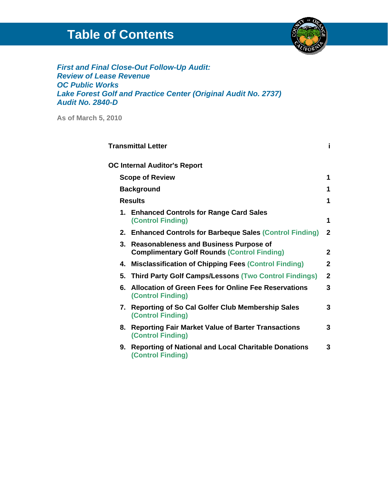# **Table of Contents**



*First and Final Close-Out Follow-Up Audit: Review of Lease Revenue OC Public Works Lake Forest Golf and Practice Center (Original Audit No. 2737) Audit No. 2840-D* 

**As of March 5, 2010** 

|    | <b>Transmittal Letter</b>                                                                           | i            |
|----|-----------------------------------------------------------------------------------------------------|--------------|
|    | <b>OC Internal Auditor's Report</b>                                                                 |              |
|    | <b>Scope of Review</b>                                                                              | 1            |
|    | <b>Background</b>                                                                                   | 1            |
|    | <b>Results</b>                                                                                      | 1            |
|    | 1. Enhanced Controls for Range Card Sales<br><b>(Control Finding)</b>                               | 1            |
|    | 2. Enhanced Controls for Barbeque Sales (Control Finding)                                           | 2            |
| 3. | <b>Reasonableness and Business Purpose of</b><br><b>Complimentary Golf Rounds (Control Finding)</b> | $\mathbf{2}$ |
| 4. | <b>Misclassification of Chipping Fees (Control Finding)</b>                                         | $\mathbf{2}$ |
|    | 5. Third Party Golf Camps/Lessons (Two Control Findings)                                            | $\mathbf{2}$ |
|    | 6. Allocation of Green Fees for Online Fee Reservations<br><b>(Control Finding)</b>                 | 3            |
| 7. | <b>Reporting of So Cal Golfer Club Membership Sales</b><br><b>(Control Finding)</b>                 | 3            |
| 8. | <b>Reporting Fair Market Value of Barter Transactions</b><br><b>(Control Finding)</b>               | 3            |
| 9. | <b>Reporting of National and Local Charitable Donations</b><br><b>(Control Finding)</b>             | 3            |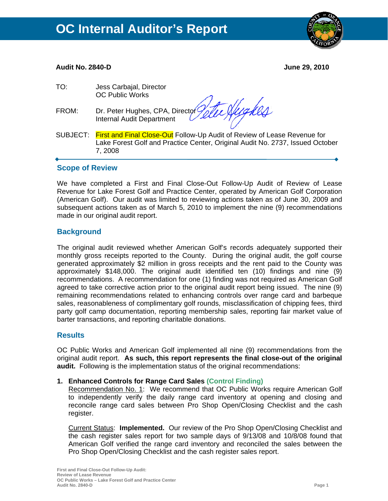

#### י **Audit No. 2840-D June 29, 2010**

| Dr. Peter Hughes, CPA, Director Velle Nugles<br>Internal Audit Department                                                                                                     |
|-------------------------------------------------------------------------------------------------------------------------------------------------------------------------------|
| SUBJECT: First and Final Close-Out Follow-Up Audit of Review of Lease Revenue for<br>Lake Forest Golf and Practice Center, Original Audit No. 2737, Issued October<br>7, 2008 |
|                                                                                                                                                                               |

# **Scope of Review**

We have completed a First and Final Close-Out Follow-Up Audit of Review of Lease Revenue for Lake Forest Golf and Practice Center, operated by American Golf Corporation (American Golf). Our audit was limited to reviewing actions taken as of June 30, 2009 and subsequent actions taken as of March 5, 2010 to implement the nine (9) recommendations made in our original audit report.

# **Background**

The original audit reviewed whether American Golf's records adequately supported their monthly gross receipts reported to the County. During the original audit, the golf course generated approximately \$2 million in gross receipts and the rent paid to the County was approximately \$148,000. The original audit identified ten (10) findings and nine (9) recommendations. A recommendation for one (1) finding was not required as American Golf agreed to take corrective action prior to the original audit report being issued. The nine (9) remaining recommendations related to enhancing controls over range card and barbeque sales, reasonableness of complimentary golf rounds, misclassification of chipping fees, third party golf camp documentation, reporting membership sales, reporting fair market value of barter transactions, and reporting charitable donations.

# **Results**

OC Public Works and American Golf implemented all nine (9) recommendations from the original audit report. **As such, this report represents the final close-out of the original audit.** Following is the implementation status of the original recommendations:

## **1. Enhanced Controls for Range Card Sales (Control Finding)**

Recommendation No. 1: We recommend that OC Public Works require American Golf to independently verify the daily range card inventory at opening and closing and reconcile range card sales between Pro Shop Open/Closing Checklist and the cash register.

Current Status: **Implemented.** Our review of the Pro Shop Open/Closing Checklist and the cash register sales report for two sample days of 9/13/08 and 10/8/08 found that American Golf verified the range card inventory and reconciled the sales between the Pro Shop Open/Closing Checklist and the cash register sales report.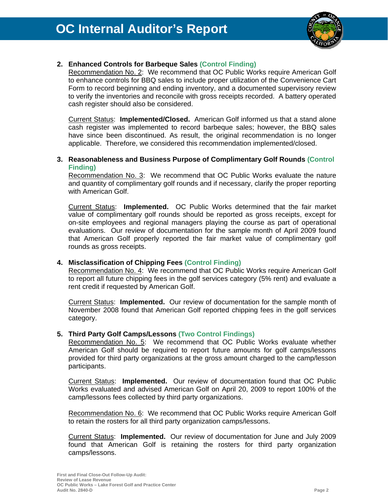

# **2. Enhanced Controls for Barbeque Sales (Control Finding)**

Recommendation No. 2: We recommend that OC Public Works require American Golf to enhance controls for BBQ sales to include proper utilization of the Convenience Cart Form to record beginning and ending inventory, and a documented supervisory review to verify the inventories and reconcile with gross receipts recorded. A battery operated cash register should also be considered.

Current Status: **Implemented/Closed.** American Golf informed us that a stand alone cash register was implemented to record barbeque sales; however, the BBQ sales have since been discontinued. As result, the original recommendation is no longer applicable. Therefore, we considered this recommendation implemented/closed.

## **3. Reasonableness and Business Purpose of Complimentary Golf Rounds (Control Finding)**

Recommendation No. 3: We recommend that OC Public Works evaluate the nature and quantity of complimentary golf rounds and if necessary, clarify the proper reporting with American Golf.

Current Status: **Implemented.** OC Public Works determined that the fair market value of complimentary golf rounds should be reported as gross receipts, except for on-site employees and regional managers playing the course as part of operational evaluations. Our review of documentation for the sample month of April 2009 found that American Golf properly reported the fair market value of complimentary golf rounds as gross receipts.

# **4. Misclassification of Chipping Fees (Control Finding)**

Recommendation No. 4: We recommend that OC Public Works require American Golf to report all future chipping fees in the golf services category (5% rent) and evaluate a rent credit if requested by American Golf.

Current Status: **Implemented.** Our review of documentation for the sample month of November 2008 found that American Golf reported chipping fees in the golf services category.

## **5. Third Party Golf Camps/Lessons (Two Control Findings)**

Recommendation No. 5:We recommend that OC Public Works evaluate whether American Golf should be required to report future amounts for golf camps/lessons provided for third party organizations at the gross amount charged to the camp/lesson participants.

Current Status: **Implemented.** Our review of documentation found that OC Public Works evaluated and advised American Golf on April 20, 2009 to report 100% of the camp/lessons fees collected by third party organizations.

Recommendation No. 6:We recommend that OC Public Works require American Golf to retain the rosters for all third party organization camps/lessons.

Current Status: **Implemented.** Our review of documentation for June and July 2009 found that American Golf is retaining the rosters for third party organization camps/lessons.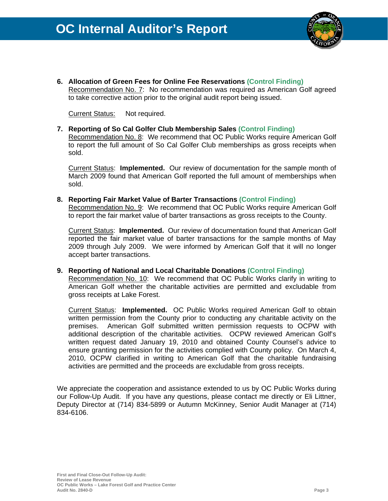

**6. Allocation of Green Fees for Online Fee Reservations (Control Finding)** Recommendation No. 7: No recommendation was required as American Golf agreed to take corrective action prior to the original audit report being issued.

Current Status: Not required.

**7. Reporting of So Cal Golfer Club Membership Sales (Control Finding)**  Recommendation No. 8:We recommend that OC Public Works require American Golf to report the full amount of So Cal Golfer Club memberships as gross receipts when sold.

Current Status: **Implemented.** Our review of documentation for the sample month of March 2009 found that American Golf reported the full amount of memberships when sold.

**8. Reporting Fair Market Value of Barter Transactions (Control Finding)**  Recommendation No. 9:We recommend that OC Public Works require American Golf to report the fair market value of barter transactions as gross receipts to the County.

Current Status: **Implemented.** Our review of documentation found that American Golf reported the fair market value of barter transactions for the sample months of May 2009 through July 2009. We were informed by American Golf that it will no longer accept barter transactions.

**9. Reporting of National and Local Charitable Donations (Control Finding)**  Recommendation No. 10:We recommend that OC Public Works clarify in writing to American Golf whether the charitable activities are permitted and excludable from gross receipts at Lake Forest.

Current Status: **Implemented.** OC Public Works required American Golf to obtain written permission from the County prior to conducting any charitable activity on the premises. American Golf submitted written permission requests to OCPW with additional description of the charitable activities. OCPW reviewed American Golf's written request dated January 19, 2010 and obtained County Counsel's advice to ensure granting permission for the activities complied with County policy. On March 4, 2010, OCPW clarified in writing to American Golf that the charitable fundraising activities are permitted and the proceeds are excludable from gross receipts.

We appreciate the cooperation and assistance extended to us by OC Public Works during our Follow-Up Audit. If you have any questions, please contact me directly or Eli Littner, Deputy Director at (714) 834-5899 or Autumn McKinney, Senior Audit Manager at (714) 834-6106.